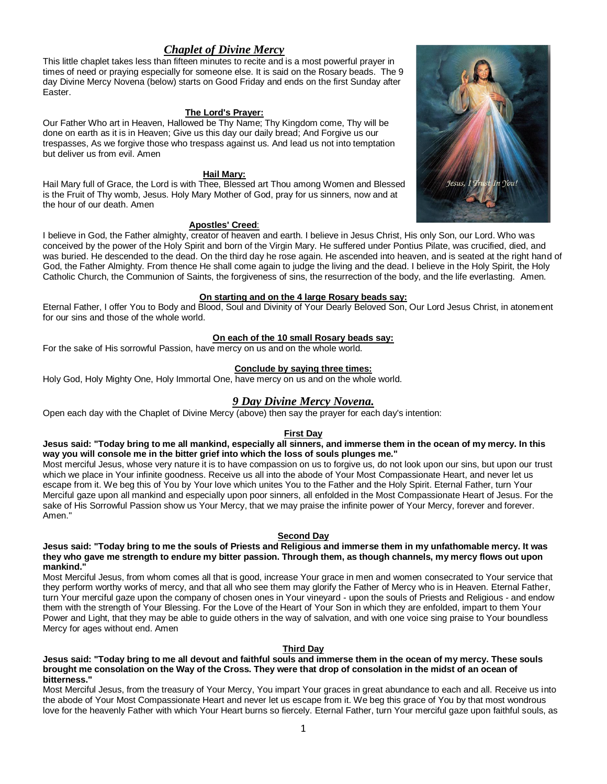# *Chaplet of Divine Mercy*

This little chaplet takes less than fifteen minutes to recite and is a most powerful prayer in times of need or praying especially for someone else. It is said on the Rosary beads. The 9 day Divine Mercy Novena (below) starts on Good Friday and ends on the first Sunday after Easter.

## **The Lord's Prayer:**

Our Father Who art in Heaven, Hallowed be Thy Name; Thy Kingdom come, Thy will be done on earth as it is in Heaven; Give us this day our daily bread; And Forgive us our trespasses, As we forgive those who trespass against us. And lead us not into temptation but deliver us from evil. Amen

## **Hail Mary:**

Hail Mary full of Grace, the Lord is with Thee, Blessed art Thou among Women and Blessed is the Fruit of Thy womb, Jesus. Holy Mary Mother of God, pray for us sinners, now and at the hour of our death. Amen

## **Apostles' Creed**:

I believe in God, the Father almighty, creator of heaven and earth. I believe in Jesus Christ, His only Son, our Lord. Who was conceived by the power of the Holy Spirit and born of the Virgin Mary. He suffered under Pontius Pilate, was crucified, died, and was buried. He descended to the dead. On the third day he rose again. He ascended into heaven, and is seated at the right hand of God, the Father Almighty. From thence He shall come again to judge the living and the dead. I believe in the Holy Spirit, the Holy Catholic Church, the Communion of Saints, the forgiveness of sins, the resurrection of the body, and the life everlasting. Amen.

## **On starting and on the 4 large Rosary beads say:**

Eternal Father, I offer You to Body and Blood, Soul and Divinity of Your Dearly Beloved Son, Our Lord Jesus Christ, in atonement for our sins and those of the whole world.

#### **On each of the 10 small Rosary beads say:**

For the sake of His sorrowful Passion, have mercy on us and on the whole world.

#### **Conclude by saying three times:**

Holy God, Holy Mighty One, Holy Immortal One, have mercy on us and on the whole world.

## *9 Day Divine Mercy Novena.*

Open each day with the Chaplet of Divine Mercy (above) then say the prayer for each day's intention:

## **First Day**

**Jesus said: "Today bring to me all mankind, especially all sinners, and immerse them in the ocean of my mercy. In this way you will console me in the bitter grief into which the loss of souls plunges me."**

Most merciful Jesus, whose very nature it is to have compassion on us to forgive us, do not look upon our sins, but upon our trust which we place in Your infinite goodness. Receive us all into the abode of Your Most Compassionate Heart, and never let us escape from it. We beg this of You by Your love which unites You to the Father and the Holy Spirit. Eternal Father, turn Your Merciful gaze upon all mankind and especially upon poor sinners, all enfolded in the Most Compassionate Heart of Jesus. For the sake of His Sorrowful Passion show us Your Mercy, that we may praise the infinite power of Your Mercy, forever and forever. Amen."

## **Second Day**

#### **Jesus said: "Today bring to me the souls of Priests and Religious and immerse them in my unfathomable mercy. It was they who gave me strength to endure my bitter passion. Through them, as though channels, my mercy flows out upon mankind."**

Most Merciful Jesus, from whom comes all that is good, increase Your grace in men and women consecrated to Your service that they perform worthy works of mercy, and that all who see them may glorify the Father of Mercy who is in Heaven. Eternal Father, turn Your merciful gaze upon the company of chosen ones in Your vineyard - upon the souls of Priests and Religious - and endow them with the strength of Your Blessing. For the Love of the Heart of Your Son in which they are enfolded, impart to them Your Power and Light, that they may be able to guide others in the way of salvation, and with one voice sing praise to Your boundless Mercy for ages without end. Amen

## **Third Day**

## **Jesus said: "Today bring to me all devout and faithful souls and immerse them in the ocean of my mercy. These souls brought me consolation on the Way of the Cross. They were that drop of consolation in the midst of an ocean of bitterness."**

Most Merciful Jesus, from the treasury of Your Mercy, You impart Your graces in great abundance to each and all. Receive us into the abode of Your Most Compassionate Heart and never let us escape from it. We beg this grace of You by that most wondrous love for the heavenly Father with which Your Heart burns so fiercely. Eternal Father, turn Your merciful gaze upon faithful souls, as

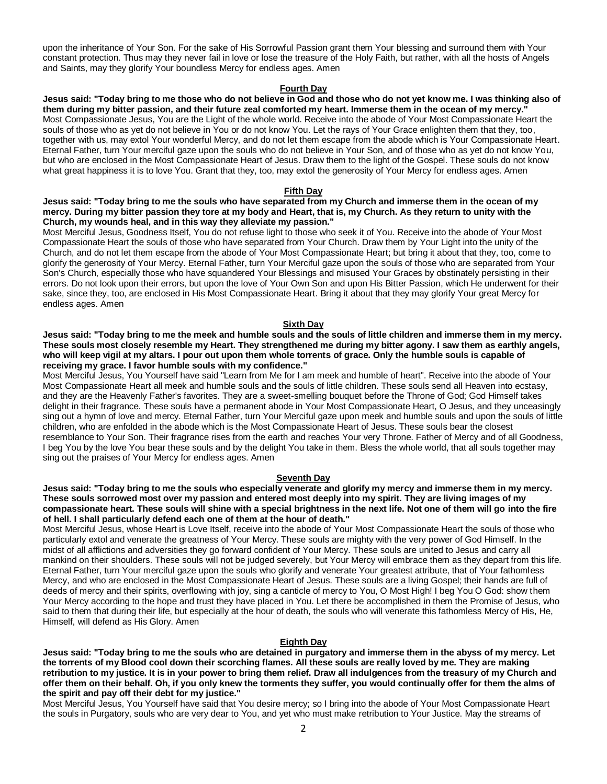upon the inheritance of Your Son. For the sake of His Sorrowful Passion grant them Your blessing and surround them with Your constant protection. Thus may they never fail in love or lose the treasure of the Holy Faith, but rather, with all the hosts of Angels and Saints, may they glorify Your boundless Mercy for endless ages. Amen

## **Fourth Day**

**Jesus said: "Today bring to me those who do not believe in God and those who do not yet know me. I was thinking also of them during my bitter passion, and their future zeal comforted my heart. Immerse them in the ocean of my mercy."** Most Compassionate Jesus, You are the Light of the whole world. Receive into the abode of Your Most Compassionate Heart the souls of those who as yet do not believe in You or do not know You. Let the rays of Your Grace enlighten them that they, too, together with us, may extol Your wonderful Mercy, and do not let them escape from the abode which is Your Compassionate Heart. Eternal Father, turn Your merciful gaze upon the souls who do not believe in Your Son, and of those who as yet do not know You, but who are enclosed in the Most Compassionate Heart of Jesus. Draw them to the light of the Gospel. These souls do not know what great happiness it is to love You. Grant that they, too, may extol the generosity of Your Mercy for endless ages. Amen

#### **Fifth Day**

**Jesus said: "Today bring to me the souls who have separated from my Church and immerse them in the ocean of my mercy. During my bitter passion they tore at my body and Heart, that is, my Church. As they return to unity with the Church, my wounds heal, and in this way they alleviate my passion."**

Most Merciful Jesus, Goodness Itself, You do not refuse light to those who seek it of You. Receive into the abode of Your Most Compassionate Heart the souls of those who have separated from Your Church. Draw them by Your Light into the unity of the Church, and do not let them escape from the abode of Your Most Compassionate Heart; but bring it about that they, too, come to glorify the generosity of Your Mercy. Eternal Father, turn Your Merciful gaze upon the souls of those who are separated from Your Son's Church, especially those who have squandered Your Blessings and misused Your Graces by obstinately persisting in their errors. Do not look upon their errors, but upon the love of Your Own Son and upon His Bitter Passion, which He underwent for their sake, since they, too, are enclosed in His Most Compassionate Heart. Bring it about that they may glorify Your great Mercy for endless ages. Amen

#### **Sixth Day**

**Jesus said: "Today bring to me the meek and humble souls and the souls of little children and immerse them in my mercy. These souls most closely resemble my Heart. They strengthened me during my bitter agony. I saw them as earthly angels, who will keep vigil at my altars. I pour out upon them whole torrents of grace. Only the humble souls is capable of receiving my grace. I favor humble souls with my confidence."**

Most Merciful Jesus, You Yourself have said "Learn from Me for I am meek and humble of heart". Receive into the abode of Your Most Compassionate Heart all meek and humble souls and the souls of little children. These souls send all Heaven into ecstasy, and they are the Heavenly Father's favorites. They are a sweet-smelling bouquet before the Throne of God; God Himself takes delight in their fragrance. These souls have a permanent abode in Your Most Compassionate Heart, O Jesus, and they unceasingly sing out a hymn of love and mercy. Eternal Father, turn Your Merciful gaze upon meek and humble souls and upon the souls of little children, who are enfolded in the abode which is the Most Compassionate Heart of Jesus. These souls bear the closest resemblance to Your Son. Their fragrance rises from the earth and reaches Your very Throne. Father of Mercy and of all Goodness, I beg You by the love You bear these souls and by the delight You take in them. Bless the whole world, that all souls together may sing out the praises of Your Mercy for endless ages. Amen

## **Seventh Day**

**Jesus said: "Today bring to me the souls who especially venerate and glorify my mercy and immerse them in my mercy. These souls sorrowed most over my passion and entered most deeply into my spirit. They are living images of my compassionate heart. These souls will shine with a special brightness in the next life. Not one of them will go into the fire of hell. I shall particularly defend each one of them at the hour of death."**

Most Merciful Jesus, whose Heart is Love Itself, receive into the abode of Your Most Compassionate Heart the souls of those who particularly extol and venerate the greatness of Your Mercy. These souls are mighty with the very power of God Himself. In the midst of all afflictions and adversities they go forward confident of Your Mercy. These souls are united to Jesus and carry all mankind on their shoulders. These souls will not be judged severely, but Your Mercy will embrace them as they depart from this life. Eternal Father, turn Your merciful gaze upon the souls who glorify and venerate Your greatest attribute, that of Your fathomless Mercy, and who are enclosed in the Most Compassionate Heart of Jesus. These souls are a living Gospel; their hands are full of deeds of mercy and their spirits, overflowing with joy, sing a canticle of mercy to You, O Most High! I beg You O God: show them Your Mercy according to the hope and trust they have placed in You. Let there be accomplished in them the Promise of Jesus, who said to them that during their life, but especially at the hour of death, the souls who will venerate this fathomless Mercy of His, He, Himself, will defend as His Glory. Amen

#### **Eighth Day**

**Jesus said: "Today bring to me the souls who are detained in purgatory and immerse them in the abyss of my mercy. Let the torrents of my Blood cool down their scorching flames. All these souls are really loved by me. They are making retribution to my justice. It is in your power to bring them relief. Draw all indulgences from the treasury of my Church and offer them on their behalf. Oh, if you only knew the torments they suffer, you would continually offer for them the alms of the spirit and pay off their debt for my justice."**

Most Merciful Jesus, You Yourself have said that You desire mercy; so I bring into the abode of Your Most Compassionate Heart the souls in Purgatory, souls who are very dear to You, and yet who must make retribution to Your Justice. May the streams of